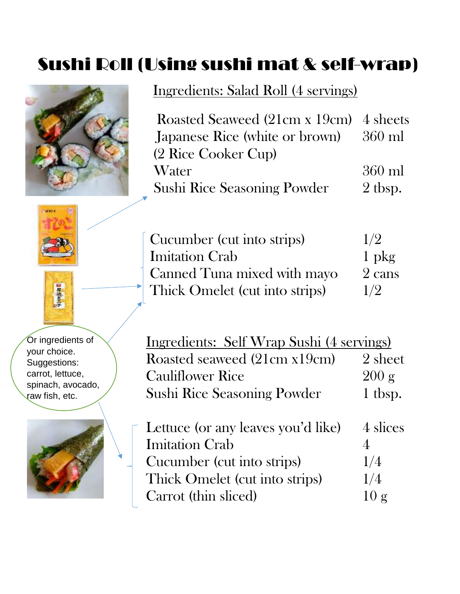# Sushi Roll (Using sushi mat & self-wrap)



### Ingredients: Salad Roll (4 servings)

| Roasted Seaweed (21cm x 19cm) 4 sheets |           |
|----------------------------------------|-----------|
| Japanese Rice (white or brown) 360 ml  |           |
| (2 Rice Cooker Cup)                    |           |
| Water                                  | $360$ ml  |
| <b>Sushi Rice Seasoning Powder</b>     | $2$ tbsp. |
|                                        |           |





Or ingredients of your choice. Suggestions: carrot, lettuce, spinach, avocado, raw fish, etc.



|  | Cucumber (cut into strips)     | 1/2     |
|--|--------------------------------|---------|
|  | <b>Imitation Crab</b>          | $1$ pkg |
|  | Canned Tuna mixed with mayo    | 2 cans  |
|  | Thick Omelet (cut into strips) | 1/2     |

| Ingredients: Self Wrap Sushi (4 servings) |                 |
|-------------------------------------------|-----------------|
| Roasted seaweed (21cm x19cm)              | 2 sheet         |
| <b>Cauliflower Rice</b>                   | $200 \text{ g}$ |
| <b>Sushi Rice Seasoning Powder</b>        | 1 tbsp.         |

| Lettuce (or any leaves you'd like) | 4 slices |
|------------------------------------|----------|
| <b>Imitation Crab</b>              |          |
| Cucumber (cut into strips)         | 1/4      |
| Thick Omelet (cut into strips)     | 1/4      |
| Carrot (thin sliced)               | 10g      |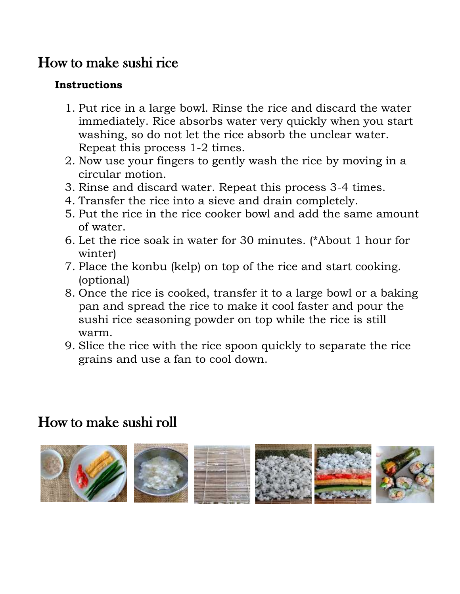#### How to make sushi rice

#### **Instructions**

- 1. Put rice in a large bowl. Rinse the rice and discard the water immediately. Rice absorbs water very quickly when you start washing, so do not let the rice absorb the unclear water. Repeat this process 1-2 times.
- 2. Now use your fingers to gently wash the rice by moving in a circular motion.
- 3. Rinse and discard water. Repeat this process 3-4 times.
- 4. Transfer the rice into a sieve and drain completely.
- 5. Put the rice in the rice cooker bowl and add the same amount of water.
- 6. Let the rice soak in water for 30 minutes. (\*About 1 hour for winter)
- 7. Place the konbu (kelp) on top of the rice and start cooking. (optional)
- 8. Once the rice is cooked, transfer it to a large bowl or a baking pan and spread the rice to make it cool faster and pour the sushi rice seasoning powder on top while the rice is still warm.
- 9. Slice the rice with the rice spoon quickly to separate the rice grains and use a fan to cool down.

#### How to make sushi roll

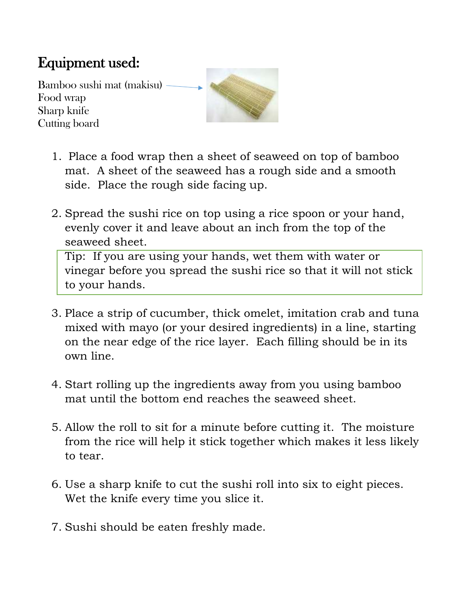## Equipment used:

Bamboo sushi mat (makisu) Food wrap Sharp knife Cutting board

![](_page_2_Picture_2.jpeg)

- 1. Place a food wrap then a sheet of seaweed on top of bamboo mat. A sheet of the seaweed has a rough side and a smooth side. Place the rough side facing up.
- 2. Spread the sushi rice on top using a rice spoon or your hand, evenly cover it and leave about an inch from the top of the seaweed sheet.

Tip: If you are using your hands, wet them with water or vinegar before you spread the sushi rice so that it will not stick to your hands.

- 3. Place a strip of cucumber, thick omelet, imitation crab and tuna mixed with mayo (or your desired ingredients) in a line, starting on the near edge of the rice layer. Each filling should be in its own line.
- 4. Start rolling up the ingredients away from you using bamboo mat until the bottom end reaches the seaweed sheet.
- 5. Allow the roll to sit for a minute before cutting it. The moisture from the rice will help it stick together which makes it less likely to tear.
- 6. Use a sharp knife to cut the sushi roll into six to eight pieces. Wet the knife every time you slice it.
- 7. Sushi should be eaten freshly made.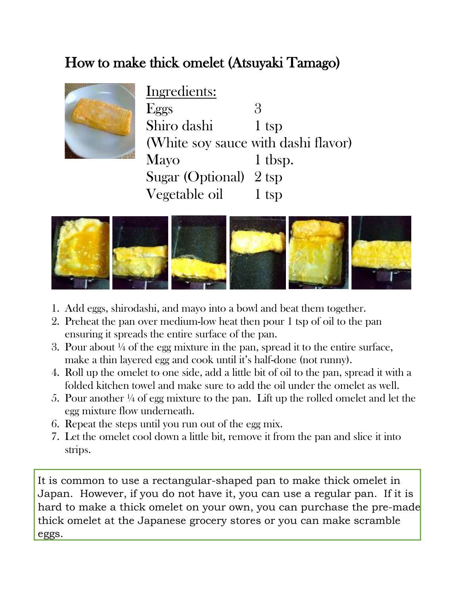#### How to make thick omelet (Atsuyaki Tamago)

![](_page_3_Picture_1.jpeg)

Ingredients: Eggs  $3$ Shiro dashi 1 tsp (White soy sauce with dashi flavor) Mayo 1 tbsp. Sugar (Optional) 2 tsp Vegetable oil 1 tsp

![](_page_3_Picture_3.jpeg)

- 1. Add eggs, shirodashi, and mayo into a bowl and beat them together.
- 2. Preheat the pan over medium-low heat then pour 1 tsp of oil to the pan ensuring it spreads the entire surface of the pan.
- 3. Pour about  $\frac{1}{4}$  of the egg mixture in the pan, spread it to the entire surface, make a thin layered egg and cook until it's half-done (not runny).
- 4. Roll up the omelet to one side, add a little bit of oil to the pan, spread it with a folded kitchen towel and make sure to add the oil under the omelet as well.
- 5. Pour another ¼ of egg mixture to the pan. Lift up the rolled omelet and let the egg mixture flow underneath.
- 6. Repeat the steps until you run out of the egg mix.
- 7. Let the omelet cool down a little bit, remove it from the pan and slice it into strips.

It is common to use a rectangular-shaped pan to make thick omelet in Japan. However, if you do not have it, you can use a regular pan. If it is hard to make a thick omelet on your own, you can purchase the pre-made thick omelet at the Japanese grocery stores or you can make scramble eggs.